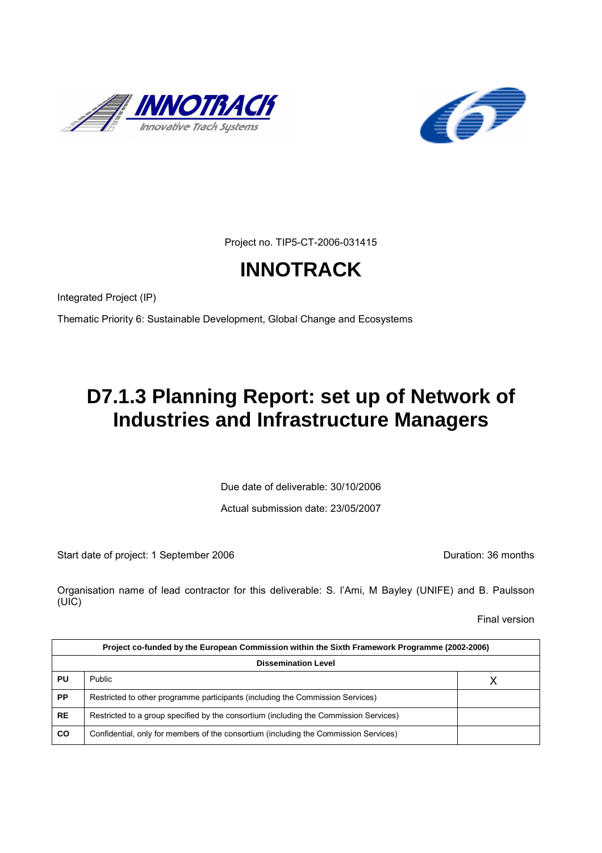



Project no. TIP5-CT-2006-031415

# **INNOTRACK**

Integrated Project (IP)

Thematic Priority 6: Sustainable Development, Global Change and Ecosystems

# **D7.1.3 Planning Report: set up of Network of Industries and Infrastructure Managers**

Due date of deliverable: 30/10/2006

Actual submission date: 23/05/2007

Start date of project: 1 September 2006 **Duration: 36 months** 

Organisation name of lead contractor for this deliverable: S. l'Ami, M Bayley (UNIFE) and B. Paulsson (UIC)

Final version

| Project co-funded by the European Commission within the Sixth Framework Programme (2002-2006) |                                                                                       |   |  |
|-----------------------------------------------------------------------------------------------|---------------------------------------------------------------------------------------|---|--|
| <b>Dissemination Level</b>                                                                    |                                                                                       |   |  |
| PU                                                                                            | Public                                                                                | Х |  |
| <b>PP</b>                                                                                     | Restricted to other programme participants (including the Commission Services)        |   |  |
| <b>RE</b>                                                                                     | Restricted to a group specified by the consortium (including the Commission Services) |   |  |
| <b>CO</b>                                                                                     | Confidential, only for members of the consortium (including the Commission Services)  |   |  |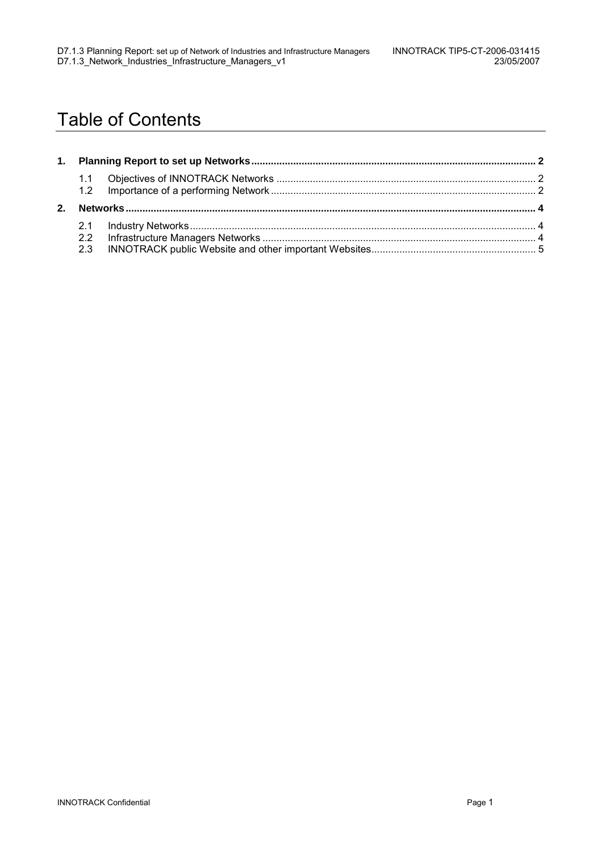## Table of Contents

|  | 2.3 |  |
|--|-----|--|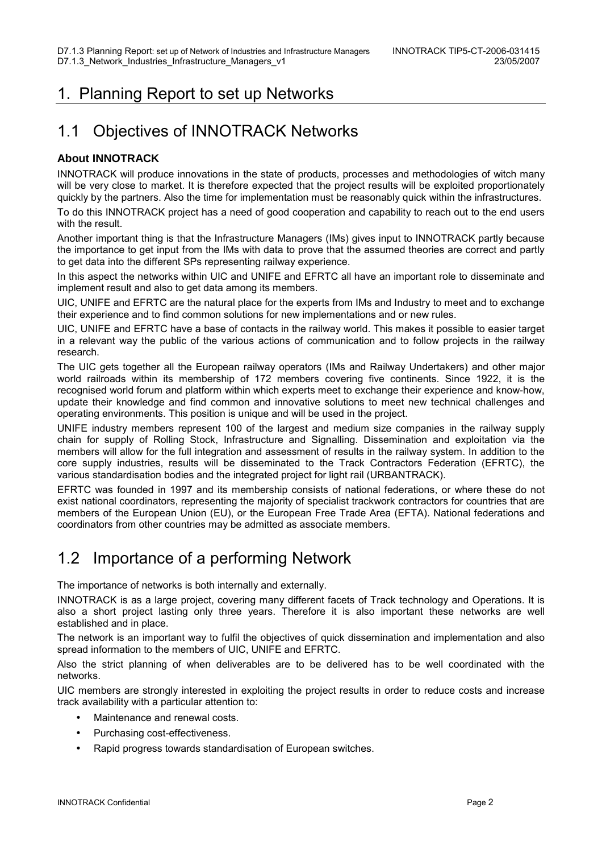### 1. Planning Report to set up Networks

#### 1.1 Objectives of INNOTRACK Networks

#### **About INNOTRACK**

INNOTRACK will produce innovations in the state of products, processes and methodologies of witch many will be very close to market. It is therefore expected that the project results will be exploited proportionately quickly by the partners. Also the time for implementation must be reasonably quick within the infrastructures.

To do this INNOTRACK project has a need of good cooperation and capability to reach out to the end users with the result.

Another important thing is that the Infrastructure Managers (IMs) gives input to INNOTRACK partly because the importance to get input from the IMs with data to prove that the assumed theories are correct and partly to get data into the different SPs representing railway experience.

In this aspect the networks within UIC and UNIFE and EFRTC all have an important role to disseminate and implement result and also to get data among its members.

UIC, UNIFE and EFRTC are the natural place for the experts from IMs and Industry to meet and to exchange their experience and to find common solutions for new implementations and or new rules.

UIC, UNIFE and EFRTC have a base of contacts in the railway world. This makes it possible to easier target in a relevant way the public of the various actions of communication and to follow projects in the railway research.

The UIC gets together all the European railway operators (IMs and Railway Undertakers) and other major world railroads within its membership of 172 members covering five continents. Since 1922, it is the recognised world forum and platform within which experts meet to exchange their experience and know-how, update their knowledge and find common and innovative solutions to meet new technical challenges and operating environments. This position is unique and will be used in the project.

UNIFE industry members represent 100 of the largest and medium size companies in the railway supply chain for supply of Rolling Stock, Infrastructure and Signalling. Dissemination and exploitation via the members will allow for the full integration and assessment of results in the railway system. In addition to the core supply industries, results will be disseminated to the Track Contractors Federation (EFRTC), the various standardisation bodies and the integrated project for light rail (URBANTRACK).

EFRTC was founded in 1997 and its membership consists of national federations, or where these do not exist national coordinators, representing the majority of specialist trackwork contractors for countries that are members of the European Union (EU), or the European Free Trade Area (EFTA). National federations and coordinators from other countries may be admitted as associate members.

### 1.2 Importance of a performing Network

The importance of networks is both internally and externally.

INNOTRACK is as a large project, covering many different facets of Track technology and Operations. It is also a short project lasting only three years. Therefore it is also important these networks are well established and in place.

The network is an important way to fulfil the objectives of quick dissemination and implementation and also spread information to the members of UIC, UNIFE and EFRTC.

Also the strict planning of when deliverables are to be delivered has to be well coordinated with the networks.

UIC members are strongly interested in exploiting the project results in order to reduce costs and increase track availability with a particular attention to:

- Maintenance and renewal costs.
- Purchasing cost-effectiveness.
- Rapid progress towards standardisation of European switches.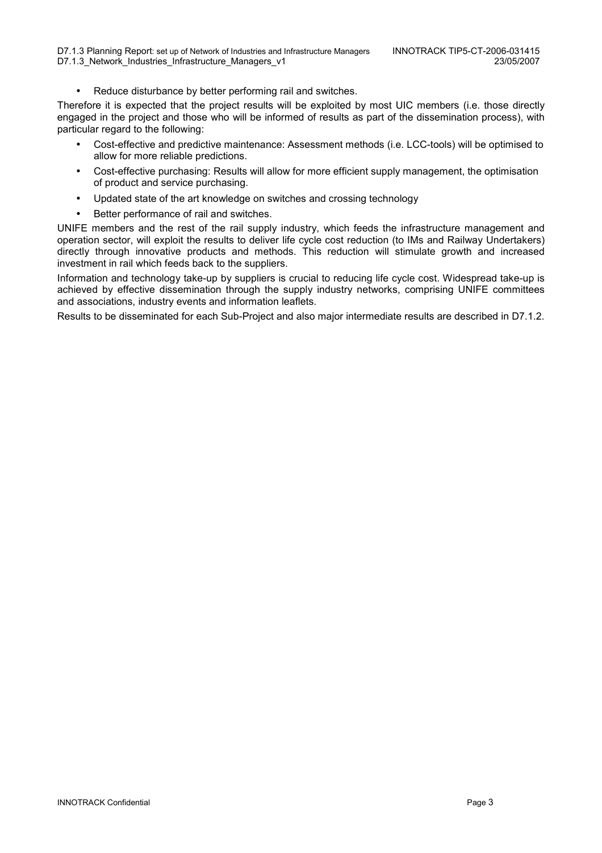Reduce disturbance by better performing rail and switches.

Therefore it is expected that the project results will be exploited by most UIC members (i.e. those directly engaged in the project and those who will be informed of results as part of the dissemination process), with particular regard to the following:

- Cost-effective and predictive maintenance: Assessment methods (i.e. LCC-tools) will be optimised to allow for more reliable predictions.
- Cost-effective purchasing: Results will allow for more efficient supply management, the optimisation of product and service purchasing.
- Updated state of the art knowledge on switches and crossing technology
- Better performance of rail and switches.

UNIFE members and the rest of the rail supply industry, which feeds the infrastructure management and operation sector, will exploit the results to deliver life cycle cost reduction (to IMs and Railway Undertakers) directly through innovative products and methods. This reduction will stimulate growth and increased investment in rail which feeds back to the suppliers.

Information and technology take-up by suppliers is crucial to reducing life cycle cost. Widespread take-up is achieved by effective dissemination through the supply industry networks, comprising UNIFE committees and associations, industry events and information leaflets.

Results to be disseminated for each Sub-Project and also major intermediate results are described in D7.1.2.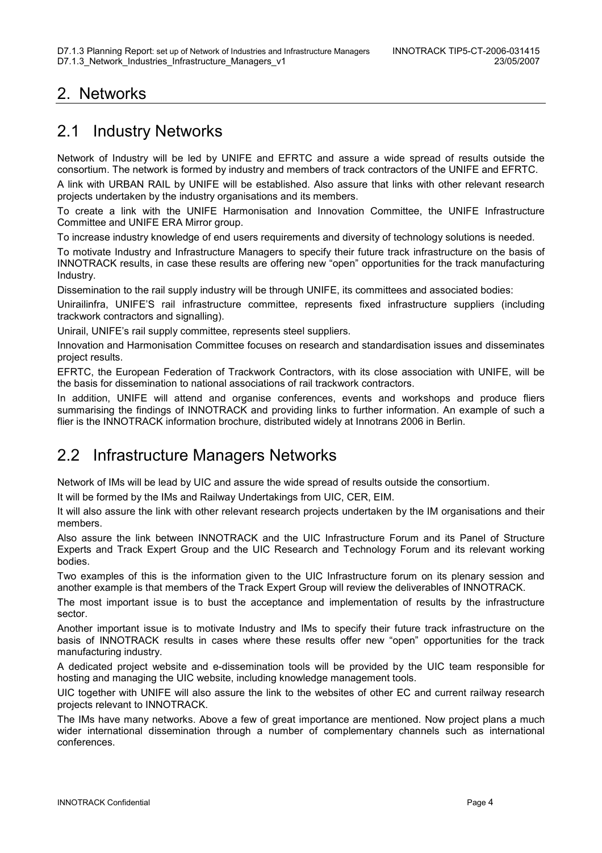### 2. Networks

#### 2.1 Industry Networks

Network of Industry will be led by UNIFE and EFRTC and assure a wide spread of results outside the consortium. The network is formed by industry and members of track contractors of the UNIFE and EFRTC.

A link with URBAN RAIL by UNIFE will be established. Also assure that links with other relevant research projects undertaken by the industry organisations and its members.

To create a link with the UNIFE Harmonisation and Innovation Committee, the UNIFE Infrastructure Committee and UNIFE ERA Mirror group.

To increase industry knowledge of end users requirements and diversity of technology solutions is needed.

To motivate Industry and Infrastructure Managers to specify their future track infrastructure on the basis of INNOTRACK results, in case these results are offering new "open" opportunities for the track manufacturing Industry.

Dissemination to the rail supply industry will be through UNIFE, its committees and associated bodies:

Unirailinfra, UNIFE'S rail infrastructure committee, represents fixed infrastructure suppliers (including trackwork contractors and signalling).

Unirail, UNIFE's rail supply committee, represents steel suppliers.

Innovation and Harmonisation Committee focuses on research and standardisation issues and disseminates project results.

EFRTC, the European Federation of Trackwork Contractors, with its close association with UNIFE, will be the basis for dissemination to national associations of rail trackwork contractors.

In addition, UNIFE will attend and organise conferences, events and workshops and produce fliers summarising the findings of INNOTRACK and providing links to further information. An example of such a flier is the INNOTRACK information brochure, distributed widely at Innotrans 2006 in Berlin.

### 2.2 Infrastructure Managers Networks

Network of IMs will be lead by UIC and assure the wide spread of results outside the consortium.

It will be formed by the IMs and Railway Undertakings from UIC, CER, EIM.

It will also assure the link with other relevant research projects undertaken by the IM organisations and their members.

Also assure the link between INNOTRACK and the UIC Infrastructure Forum and its Panel of Structure Experts and Track Expert Group and the UIC Research and Technology Forum and its relevant working bodies.

Two examples of this is the information given to the UIC Infrastructure forum on its plenary session and another example is that members of the Track Expert Group will review the deliverables of INNOTRACK.

The most important issue is to bust the acceptance and implementation of results by the infrastructure sector.

Another important issue is to motivate Industry and IMs to specify their future track infrastructure on the basis of INNOTRACK results in cases where these results offer new "open" opportunities for the track manufacturing industry.

A dedicated project website and e-dissemination tools will be provided by the UIC team responsible for hosting and managing the UIC website, including knowledge management tools.

UIC together with UNIFE will also assure the link to the websites of other EC and current railway research projects relevant to INNOTRACK.

The IMs have many networks. Above a few of great importance are mentioned. Now project plans a much wider international dissemination through a number of complementary channels such as international conferences.